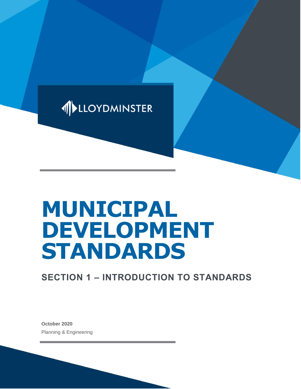

# **MUNICIPAL DEVELOPMENT STANDARDS**

# **SECTION 1 – INTRODUCTION TO STANDARDS**

**October 2020** Planning & Engineering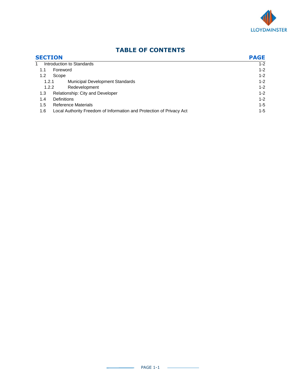

| <b>SECTION</b>                                                              | <b>PAGE</b> |
|-----------------------------------------------------------------------------|-------------|
| Introduction to Standards                                                   | $1 - 2$     |
| Foreword<br>1.1                                                             | $1 - 2$     |
| 1.2<br>Scope                                                                | $1 - 2$     |
| <b>Municipal Development Standards</b><br>1.2.1                             | $1 - 2$     |
| Redevelopment<br>1.2.2                                                      | $1 - 2$     |
| Relationship: City and Developer<br>1.3                                     | $1 - 2$     |
| <b>Definitions</b><br>1.4                                                   | $1 - 2$     |
| <b>Reference Materials</b><br>1.5                                           | $1 - 5$     |
| Local Authority Freedom of Information and Protection of Privacy Act<br>1.6 | $1 - 5$     |

## **TABLE OF CONTENTS**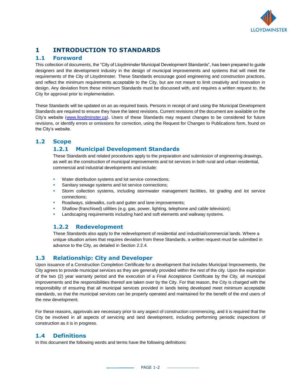

### **1 INTRODUCTION TO STANDARDS**

#### **1.1 Foreword**

This collection of documents, the "City of Lloydminster Municipal Development Standards", has been prepared to guide designers and the development industry in the design of municipal improvements and systems that will meet the requirements of the City of Lloydminster. These Standards encourage good engineering and construction practices, and reflect the minimum requirements acceptable to the City, but are not meant to limit creativity and innovation in design. Any deviation from these minimum Standards must be discussed with, and requires a written request to, the City for approval prior to implementation.

These Standards will be updated on an as-required basis. Persons in receipt of and using the Municipal Development Standards are required to ensure they have the latest revisions. Current revisions of the document are available on the City's website [\(www.lloydminster.ca\)](http://www.lloydminster.ca/). Users of these Standards may request changes to be considered for future revisions, or identify errors or omissions for correction, using the Request for Changes to Publications form, found on the City's website.

#### **1.2 Scope**

#### **1.2.1 Municipal Development Standards**

These Standards and related procedures apply to the preparation and submission of engineering drawings, as well as the construction of municipal improvements and lot services in both rural and urban residential, commercial and industrial developments and include:

- Water distribution systems and lot service connections;
- Sanitary sewage systems and lot service connections;
- Storm collection systems, including stormwater management facilities, lot grading and lot service connections;
- Roadways, sidewalks, curb and gutter and lane improvements;
- Shallow (franchised) utilities (e.g. gas, power, lighting, telephone and cable television);
- Landscaping requirements including hard and soft elements and walkway systems.

#### **1.2.2 Redevelopment**

These Standards also apply to the redevelopment of residential and industrial/commercial lands. Where a unique situation arises that requires deviation from these Standards, a written request must be submitted in advance to the City, as detailed in Section 2.2.4.

#### **1.3 Relationship: City and Developer**

Upon issuance of a Construction Completion Certificate for a development that includes Municipal Improvements, the City agrees to provide municipal services as they are generally provided within the rest of the city. Upon the expiration of the two (2) year warranty period and the execution of a Final Acceptance Certificate by the City, all municipal improvements and the responsibilities thereof are taken over by the City. For that reason, the City is charged with the responsibility of ensuring that all municipal services provided in lands being developed meet minimum acceptable standards, so that the municipal services can be properly operated and maintained for the benefit of the end users of the new development.

For these reasons, approvals are necessary prior to any aspect of construction commencing, and it is required that the City be involved in all aspects of servicing and land development, including performing periodic inspections of construction as it is in progress.

#### **1.4 Definitions**

In this document the following words and terms have the following definitions: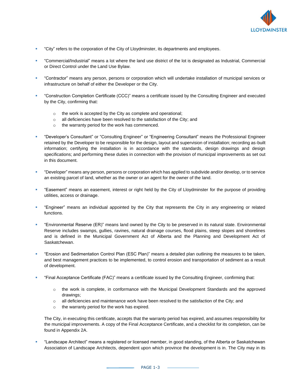

- "City" refers to the corporation of the City of Lloydminster, its departments and employees.
- "Commercial/Industrial" means a lot where the land use district of the lot is designated as Industrial, Commercial or Direct Control under the Land Use Bylaw.
- "Contractor" means any person, persons or corporation which will undertake installation of municipal services or infrastructure on behalf of either the Developer or the City.
- "Construction Completion Certificate (CCC)" means a certificate issued by the Consulting Engineer and executed by the City, confirming that:
	- o the work is accepted by the City as complete and operational;
	- o all deficiencies have been resolved to the satisfaction of the City; and
	- o the warranty period for the work has commenced.
- "Developer's Consultant" or "Consulting Engineer" or "Engineering Consultant" means the Professional Engineer retained by the Developer to be responsible for the design, layout and supervision of installation; recording as-built information; certifying the installation is in accordance with the standards, design drawings and design specifications; and performing these duties in connection with the provision of municipal improvements as set out in this document.
- "Developer" means any person, persons or corporation which has applied to subdivide and/or develop, or to service an existing parcel of land, whether as the owner or an agent for the owner of the land.
- "Easement" means an easement, interest or right held by the City of Lloydminster for the purpose of providing utilities, access or drainage.
- "Engineer" means an individual appointed by the City that represents the City in any engineering or related functions.
- "Environmental Reserve (ER)" means land owned by the City to be preserved in its natural state. Environmental Reserve includes swamps, gullies, ravines, natural drainage courses, flood plains, steep slopes and shorelines and is defined in the Municipal Government Act of Alberta and the Planning and Development Act of Saskatchewan.
- "Erosion and Sedimentation Control Plan (ESC Plan)" means a detailed plan outlining the measures to be taken, and best management practices to be implemented, to control erosion and transportation of sediment as a result of development.
- "Final Acceptance Certificate (FAC)" means a certificate issued by the Consulting Engineer, confirming that:
	- o the work is complete, in conformance with the Municipal Development Standards and the approved drawings;
	- $\circ$  all deficiencies and maintenance work have been resolved to the satisfaction of the City; and
	- o the warranty period for the work has expired.

The City, in executing this certificate, accepts that the warranty period has expired, and assumes responsibility for the municipal improvements. A copy of the Final Acceptance Certificate, and a checklist for its completion, can be found in Appendix 2A.

▪ "Landscape Architect" means a registered or licensed member, in good standing, of the Alberta or Saskatchewan Association of Landscape Architects, dependent upon which province the development is in. The City may in its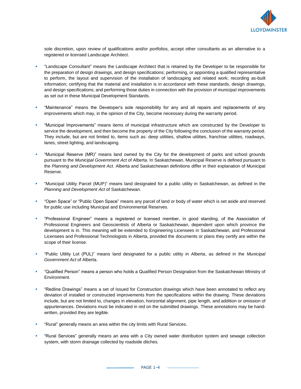

sole discretion, upon review of qualifications and/or portfolios, accept other consultants as an alternative to a registered or licensed Landscape Architect.

- "Landscape Consultant" means the Landscape Architect that is retained by the Developer to be responsible for the preparation of design drawings, and design specifications; performing, or appointing a qualified representative to perform, the layout and supervision of the installation of landscaping and related work; recording as-built information; certifying that the material and installation is in accordance with these standards, design drawings, and design specifications; and performing those duties in connection with the provision of municipal improvements as set out in these Municipal Development Standards.
- "Maintenance" means the Developer's sole responsibility for any and all repairs and replacements of any improvements which may, in the opinion of the City, become necessary during the warranty period.
- "Municipal Improvements" means items of municipal infrastructure which are constructed by the Developer to service the development, and then become the property of the City following the conclusion of the warranty period. They include, but are not limited to, items such as: deep utilities, shallow utilities, franchise utilities, roadways, lanes, street lighting, and landscaping.
- "Municipal Reserve (MR)" means land owned by the City for the development of parks and school grounds pursuant to the *Municipal Government Act* of Alberta. In Saskatchewan, Municipal Reserve is defined pursuant to the *Planning and Development Act*. Alberta and Saskatchewan definitions differ in their explanation of Municipal Reserve.
- "Municipal Utility Parcel (MUP)" means land designated for a public utility in Saskatchewan, as defined in the *Planning and Development Act* of Saskatchewan.
- "Open Space" or "Public Open Space" means any parcel of land or body of water which is set aside and reserved for public use including Municipal and Environmental Reserves.
- "Professional Engineer" means a registered or licensed member, in good standing, of the Association of Professional Engineers and Geoscientists of Alberta or Saskatchewan, dependent upon which province the development is in. This meaning will be extended to Engineering Licensees in Saskatchewan, and Professional Licensees and Professional Technologists in Alberta, provided the documents or plans they certify are within the scope of their license.
- "Public Utility Lot (PUL)" means land designated for a public utility in Alberta, as defined in the *Municipal Government Act* of Alberta.
- "Qualified Person" means a person who holds a Qualified Person Designation from the Saskatchewan Ministry of Environment.
- "Redline Drawings" means a set of Issued for Construction drawings which have been annotated to reflect any deviation of installed or constructed improvements from the specifications within the drawing. These deviations include, but are not limited to, changes in elevation, horizontal alignment, pipe length, and addition or omission of appurtenances. Deviations must be indicated in red on the submitted drawings. These annotations may be handwritten, provided they are legible.
- "Rural" generally means an area within the city limits with Rural Services.
- "Rural Services" generally means an area with a City owned water distribution system and sewage collection system, with storm drainage collected by roadside ditches.